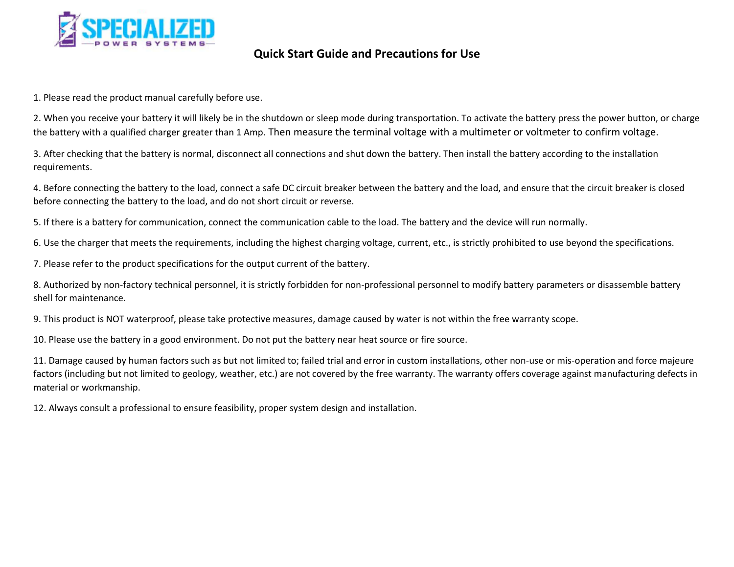

## **Quick Start Guide and Precautions for Use**

1. Please read the product manual carefully before use.

2. When you receive your battery it will likely be in the shutdown or sleep mode during transportation. To activate the battery press the power button, or charge the battery with a qualified charger greater than 1 Amp. Then measure the terminal voltage with a multimeter or voltmeter to confirm voltage.

3. After checking that the battery is normal, disconnect all connections and shut down the battery. Then install the battery according to the installation requirements.

4. Before connecting the battery to the load, connect a safe DC circuit breaker between the battery and the load, and ensure that the circuit breaker is closed before connecting the battery to the load, and do not short circuit or reverse.

5. If there is a battery for communication, connect the communication cable to the load. The battery and the device will run normally.

6. Use the charger that meets the requirements, including the highest charging voltage, current, etc., is strictly prohibited to use beyond the specifications.

7. Please refer to the product specifications for the output current of the battery.

8. Authorized by non-factory technical personnel, it is strictly forbidden for non-professional personnel to modify battery parameters or disassemble battery shell for maintenance.

9. This product is NOT waterproof, please take protective measures, damage caused by water is not within the free warranty scope.

10. Please use the battery in a good environment. Do not put the battery near heat source or fire source.

11. Damage caused by human factors such as but not limited to; failed trial and error in custom installations, other non-use or mis-operation and force majeure factors (including but not limited to geology, weather, etc.) are not covered by the free warranty. The warranty offers coverage against manufacturing defects in material or workmanship.

12. Always consult a professional to ensure feasibility, proper system design and installation.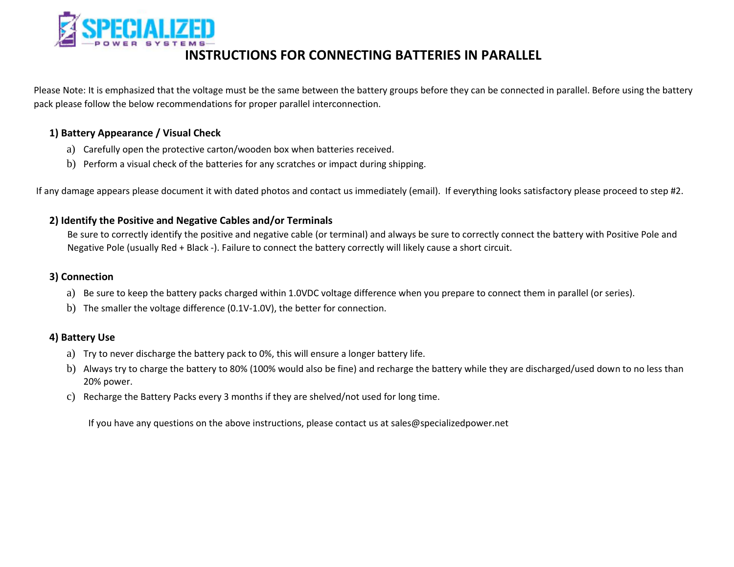

## **INSTRUCTIONS FOR CONNECTING BATTERIES IN PARALLEL**

Please Note: It is emphasized that the voltage must be the same between the battery groups before they can be connected in parallel. Before using the battery pack please follow the below recommendations for proper parallel interconnection.

### **1) Battery Appearance / Visual Check**

- a) Carefully open the protective carton/wooden box when batteries received.
- b) Perform a visual check of the batteries for any scratches or impact during shipping.

If any damage appears please document it with dated photos and contact us immediately (email). If everything looks satisfactory please proceed to step #2.

### **2) Identify the Positive and Negative Cables and/or Terminals**

Be sure to correctly identify the positive and negative cable (or terminal) and always be sure to correctly connect the battery with Positive Pole and Negative Pole (usually Red + Black -). Failure to connect the battery correctly will likely cause a short circuit.

### **3) Connection**

- a) Be sure to keep the battery packs charged within 1.0VDC voltage difference when you prepare to connect them in parallel (or series).
- b) The smaller the voltage difference (0.1V-1.0V), the better for connection.

## **4) Battery Use**

- a) Try to never discharge the battery pack to 0%, this will ensure a longer battery life.
- b) Always try to charge the battery to 80% (100% would also be fine) and recharge the battery while they are discharged/used down to no less than 20% power.
- c) Recharge the Battery Packs every 3 months if they are shelved/not used for long time.

If you have any questions on the above instructions, please contact us at sales@specializedpower.net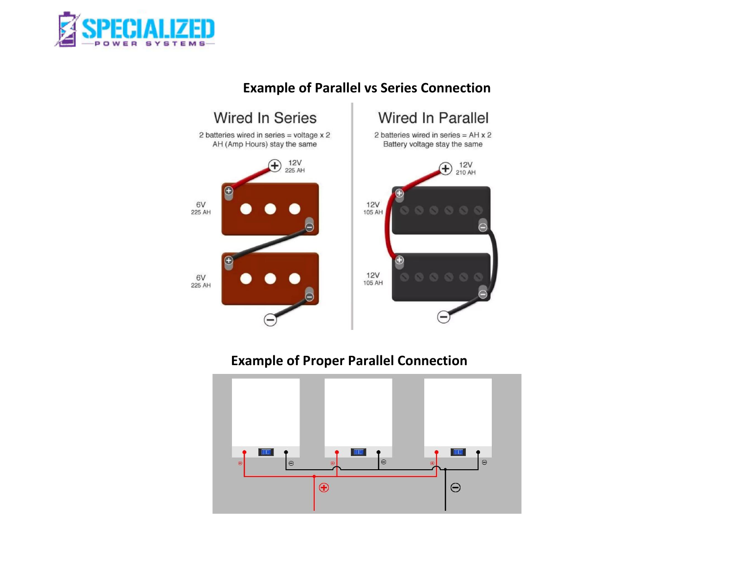



# **Example of Parallel vs Series Connection**

# **Example of Proper Parallel Connection**

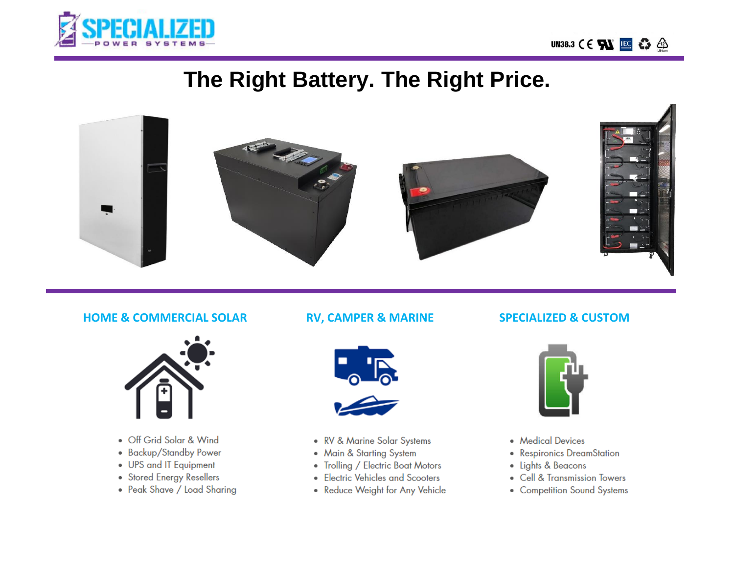



# The Right Battery. The Right Price.



## **HOME & COMMERCIAL SOLAR**



- Off Grid Solar & Wind
- Backup/Standby Power
- UPS and IT Equipment
- Stored Energy Resellers
- Peak Shave / Load Sharing

## **RV, CAMPER & MARINE**



- RV & Marine Solar Systems
- Main & Starting System
- Trolling / Electric Boat Motors
- Electric Vehicles and Scooters
- Reduce Weight for Any Vehicle

## **SPECIALIZED & CUSTOM**



- Medical Devices
- Respironics DreamStation
- Lights & Beacons
- Cell & Transmission Towers
- Competition Sound Systems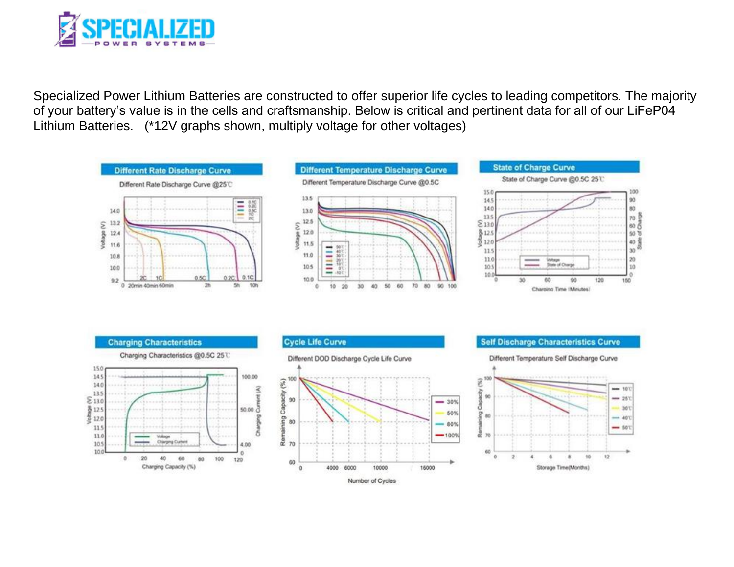

Specialized Power Lithium Batteries are constructed to offer superior life cycles to leading competitors. The majority of your battery's value is in the cells and craftsmanship. Below is critical and pertinent data for all of our LiFeP04 Lithium Batteries. (\*12V graphs shown, multiply voltage for other voltages)



Number of Cycles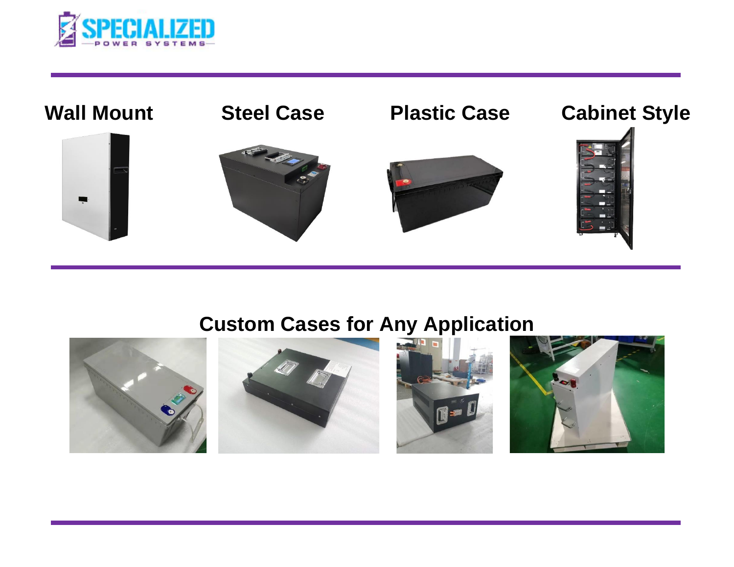



# **Custom Cases for Any Application**

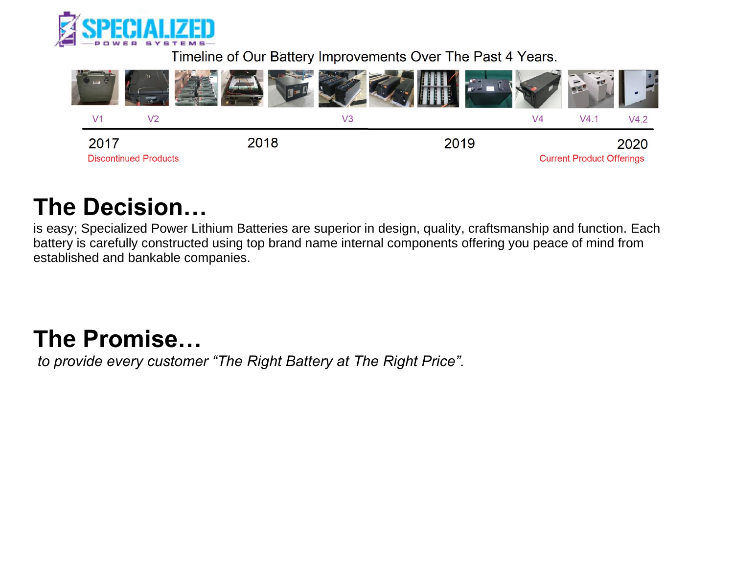

Timeline of Our Battery Improvements Over The Past 4 Years.



# **The Decision…**

is easy; Specialized Power Lithium Batteries are superior in design, quality, craftsmanship and function. Each battery is carefully constructed using top brand name internal components offering you peace of mind from established and bankable companies.

# **The Promise…**

*to provide every customer "The Right Battery at The Right Price".*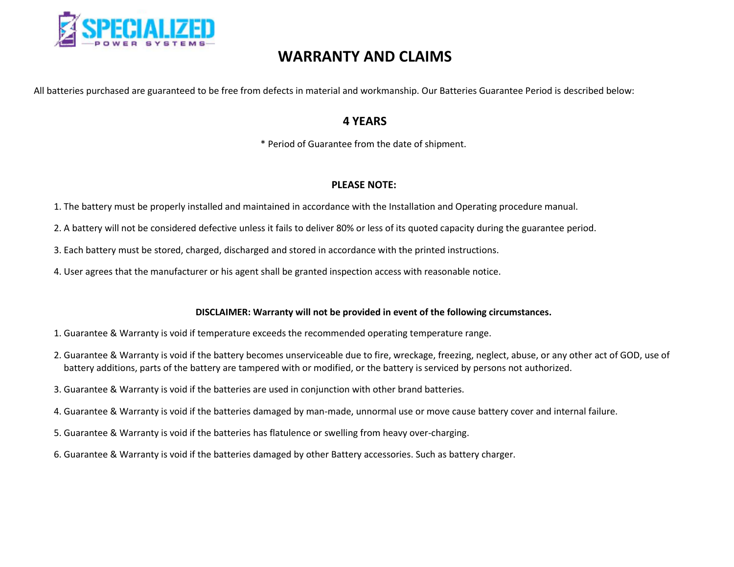

# **WARRANTY AND CLAIMS**

All batteries purchased are guaranteed to be free from defects in material and workmanship. Our Batteries Guarantee Period is described below:

## **4 YEARS**

\* Period of Guarantee from the date of shipment.

### **PLEASE NOTE:**

- 1. The battery must be properly installed and maintained in accordance with the Installation and Operating procedure manual.
- 2. A battery will not be considered defective unless it fails to deliver 80% or less of its quoted capacity during the guarantee period.
- 3. Each battery must be stored, charged, discharged and stored in accordance with the printed instructions.
- 4. User agrees that the manufacturer or his agent shall be granted inspection access with reasonable notice.

#### **DISCLAIMER: Warranty will not be provided in event of the following circumstances.**

- 1. Guarantee & Warranty is void if temperature exceeds the recommended operating temperature range.
- 2. Guarantee & Warranty is void if the battery becomes unserviceable due to fire, wreckage, freezing, neglect, abuse, or any other act of GOD, use of battery additions, parts of the battery are tampered with or modified, or the battery is serviced by persons not authorized.
- 3. Guarantee & Warranty is void if the batteries are used in conjunction with other brand batteries.
- 4. Guarantee & Warranty is void if the batteries damaged by man-made, unnormal use or move cause battery cover and internal failure.
- 5. Guarantee & Warranty is void if the batteries has flatulence or swelling from heavy over-charging.
- 6. Guarantee & Warranty is void if the batteries damaged by other Battery accessories. Such as battery charger.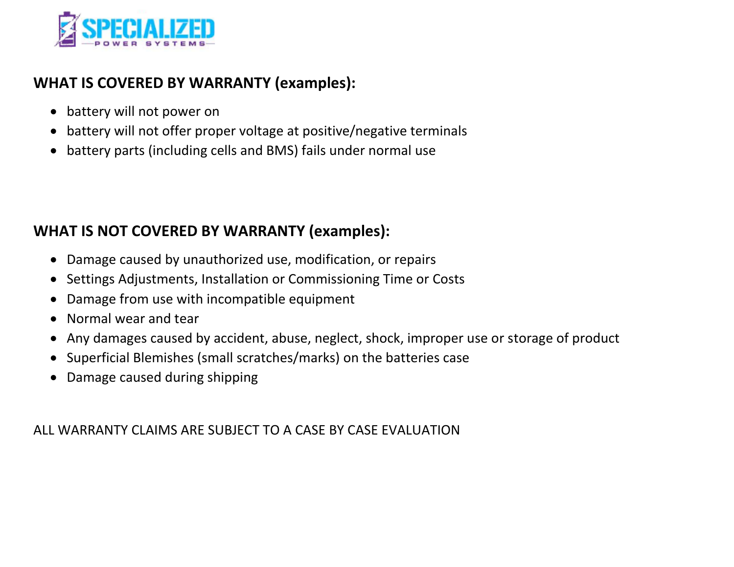

# **WHAT IS COVERED BY WARRANTY (examples):**

- battery will not power on
- battery will not offer proper voltage at positive/negative terminals
- battery parts (including cells and BMS) fails under normal use

# **WHAT IS NOT COVERED BY WARRANTY (examples):**

- Damage caused by unauthorized use, modification, or repairs
- Settings Adjustments, Installation or Commissioning Time or Costs
- Damage from use with incompatible equipment
- Normal wear and tear
- Any damages caused by accident, abuse, neglect, shock, improper use or storage of product
- Superficial Blemishes (small scratches/marks) on the batteries case
- Damage caused during shipping

ALL WARRANTY CLAIMS ARE SUBJECT TO A CASE BY CASE EVALUATION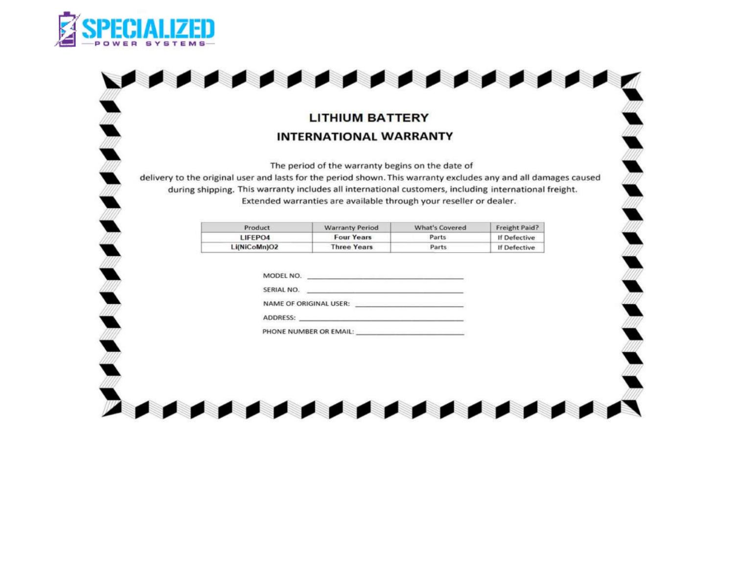

 $\overline{a}$ 

*. . . . . . . . . . . . . .* . 

## **LITHIUM BATTERY INTERNATIONAL WARRANTY**

**Reserve** 

The period of the warranty begins on the date of

delivery to the original user and lasts for the period shown. This warranty excludes any and all damages caused during shipping. This warranty includes all international customers, including international freight. Extended warranties are available through your reseller or dealer.

| Product      | <b>Warranty Period</b> | <b>What's Covered</b> | Freight Paid? |
|--------------|------------------------|-----------------------|---------------|
| LIFEPO4      | <b>Four Years</b>      | Parts                 | If Defective  |
| Li(NiCoMn)O2 | <b>Three Years</b>     | Parts                 | If Defective  |

| MODEL NO.              |  |
|------------------------|--|
| SERIAL NO.             |  |
| NAME OF ORIGINAL USER: |  |
| <b>ADDRESS:</b>        |  |
| PHONE NUMBER OR EMAIL: |  |

. . . . . . . . . . . . . . . . . .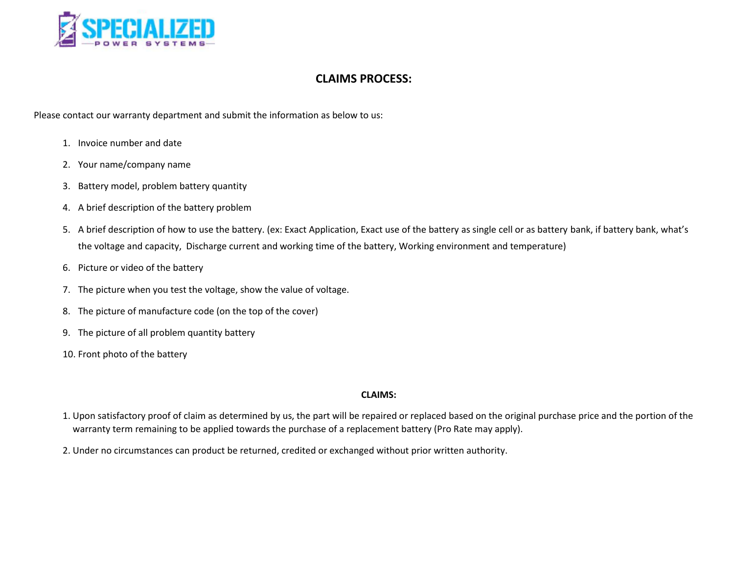

### **CLAIMS PROCESS:**

Please contact our warranty department and submit the information as below to us:

- 1. Invoice number and date
- 2. Your name/company name
- 3. Battery model, problem battery quantity
- 4. A brief description of the battery problem
- 5. A brief description of how to use the battery. (ex: Exact Application, Exact use of the battery as single cell or as battery bank, if battery bank, what's the voltage and capacity, Discharge current and working time of the battery, Working environment and temperature)
- 6. Picture or video of the battery
- 7. The picture when you test the voltage, show the value of voltage.
- 8. The picture of manufacture code (on the top of the cover)
- 9. The picture of all problem quantity battery
- 10. Front photo of the battery

#### **CLAIMS:**

- 1. Upon satisfactory proof of claim as determined by us, the part will be repaired or replaced based on the original purchase price and the portion of the warranty term remaining to be applied towards the purchase of a replacement battery (Pro Rate may apply).
- 2. Under no circumstances can product be returned, credited or exchanged without prior written authority.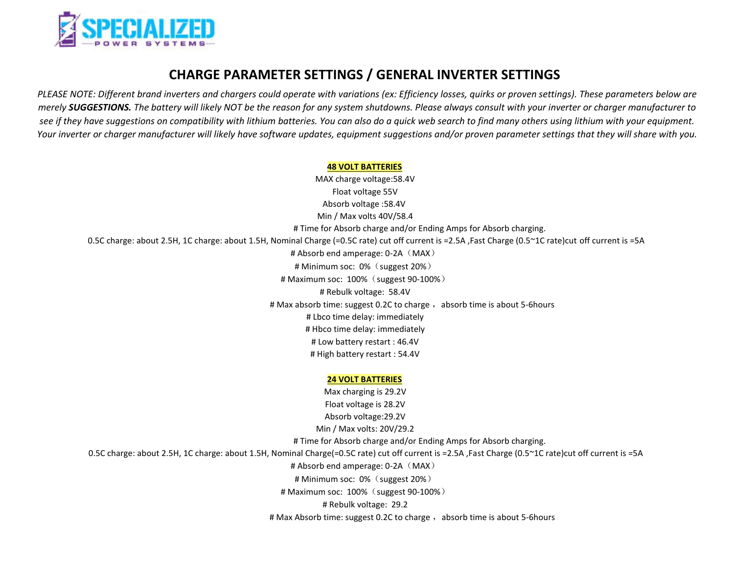

## **CHARGE PARAMETER SETTINGS / GENERAL INVERTER SETTINGS**

*PLEASE NOTE: Different brand inverters and chargers could operate with variations (ex: Efficiency losses, quirks or proven settings). These parameters below are merely SUGGESTIONS. The battery will likely NOT be the reason for any system shutdowns. Please always consult with your inverter or charger manufacturer to see if they have suggestions on compatibility with lithium batteries. You can also do a quick web search to find many others using lithium with your equipment.* Your inverter or charger manufacturer will likely have software updates, equipment suggestions and/or proven parameter settings that they will share with you.

#### **48 VOLT BATTERIES**

MAX charge voltage:58.4V Float voltage 55V Absorb voltage :58.4V Min / Max volts 40V/58.4 # Time for Absorb charge and/or Ending Amps for Absorb charging. 0.5C charge: about 2.5H, 1C charge: about 1.5H, Nominal Charge (=0.5C rate) cut off current is =2.5A ,Fast Charge (0.5~1C rate)cut off current is =5A # Absorb end amperage:  $0-2A$  (MAX) # Minimum soc: 0% (suggest 20%) # Maximum soc: 100%(suggest 90-100%) # Rebulk voltage: 58.4V # Max absorb time: suggest 0.2C to charge, absorb time is about 5-6hours # Lbco time delay: immediately # Hbco time delay: immediately # Low battery restart : 46.4V # High battery restart : 54.4V

#### **24 VOLT BATTERIES**

Max charging is 29.2V Float voltage is 28.2V Absorb voltage:29.2V Min / Max volts: 20V/29.2 # Time for Absorb charge and/or Ending Amps for Absorb charging. 0.5C charge: about 2.5H, 1C charge: about 1.5H, Nominal Charge(=0.5C rate) cut off current is =2.5A ,Fast Charge (0.5~1C rate)cut off current is =5A # Absorb end amperage: 0-2A (MAX) # Minimum soc: 0% (suggest 20%) # Maximum soc: 100%(suggest 90-100%) # Rebulk voltage: 29.2 # Max Absorb time: suggest 0.2C to charge , absorb time is about 5-6hours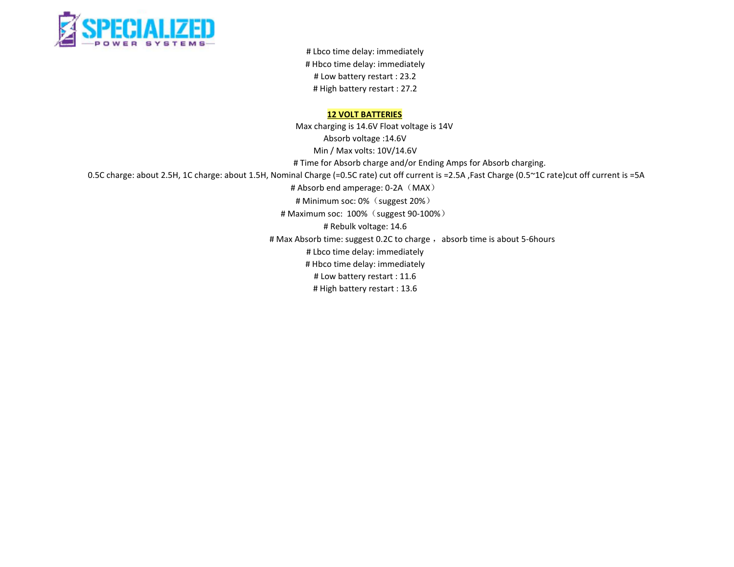

# Lbco time delay: immediately # Hbco time delay: immediately # Low battery restart : 23.2 # High battery restart : 27.2

#### **12 VOLT BATTERIES**

Max charging is 14.6V Float voltage is 14V Absorb voltage :14.6V Min / Max volts: 10V/14.6V # Time for Absorb charge and/or Ending Amps for Absorb charging. 0.5C charge: about 2.5H, 1C charge: about 1.5H, Nominal Charge (=0.5C rate) cut off current is =2.5A ,Fast Charge (0.5~1C rate)cut off current is =5A # Absorb end amperage: 0-2A (MAX) # Minimum soc: 0% (suggest 20%) # Maximum soc: 100% (suggest 90-100%) # Rebulk voltage: 14.6 # Max Absorb time: suggest 0.2C to charge, absorb time is about 5-6hours # Lbco time delay: immediately # Hbco time delay: immediately # Low battery restart : 11.6 # High battery restart : 13.6